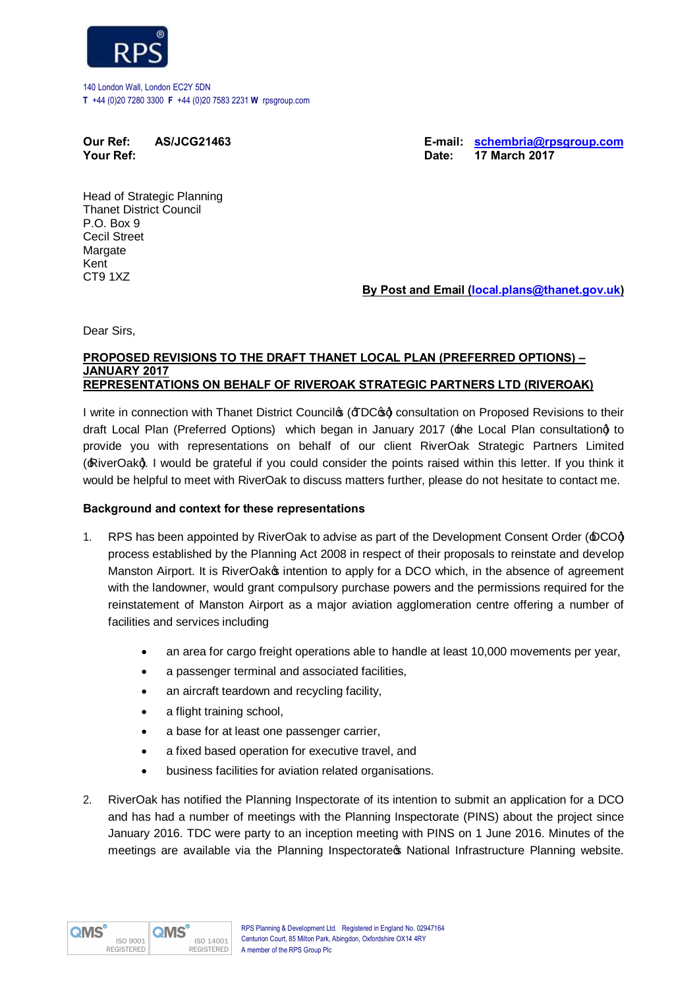

140 London Wall, London EC2Y 5DN **T** +44 (0)20 7280 3300 **F** +44 (0)20 7583 2231 **W** rpsgroup.com

**Your Ref: Date: 17 March 2017** 

**Our Ref: AS/JCG21463 E-mail: schembria@rpsgroup.com**

Head of Strategic Planning Thanet District Council P.O. Box 9 Cecil Street Margate Kent CT9 1XZ

**By Post and Email (local.plans@thanet.gov.uk)**

Dear Sirs,

### **PROPOSED REVISIONS TO THE DRAFT THANET LOCAL PLAN (PREFERRED OPTIONS) – JANUARY 2017 REPRESENTATIONS ON BEHALF OF RIVEROAK STRATEGIC PARTNERS LTD (RIVEROAK)**

I write in connection with Thanet District Councilos ( $\text{FDC}$  $\text{gd}$  consultation on Proposed Revisions to their draft Local Plan (Preferred Options) which began in January 2017 (the Local Plan consultationg to provide you with representations on behalf of our client RiverOak Strategic Partners Limited (:RiverOakq). I would be grateful if you could consider the points raised within this letter. If you think it would be helpful to meet with RiverOak to discuss matters further, please do not hesitate to contact me.

# **Background and context for these representations**

- 1. RPS has been appointed by RiverOak to advise as part of the Development Consent Order ( $\triangle$ COd) process established by the Planning Act 2008 in respect of their proposals to reinstate and develop Manston Airport. It is RiverOako intention to apply for a DCO which, in the absence of agreement with the landowner, would grant compulsory purchase powers and the permissions required for the reinstatement of Manston Airport as a major aviation agglomeration centre offering a number of facilities and services including
	- an area for cargo freight operations able to handle at least 10,000 movements per year,
	- a passenger terminal and associated facilities,
	- an aircraft teardown and recycling facility.
	- a flight training school,
	- · a base for at least one passenger carrier,
	- · a fixed based operation for executive travel, and
	- · business facilities for aviation related organisations.
- 2. RiverOak has notified the Planning Inspectorate of its intention to submit an application for a DCO and has had a number of meetings with the Planning Inspectorate (PINS) about the project since January 2016. TDC were party to an inception meeting with PINS on 1 June 2016. Minutes of the meetings are available via the Planning Inspectorate wational Infrastructure Planning website.

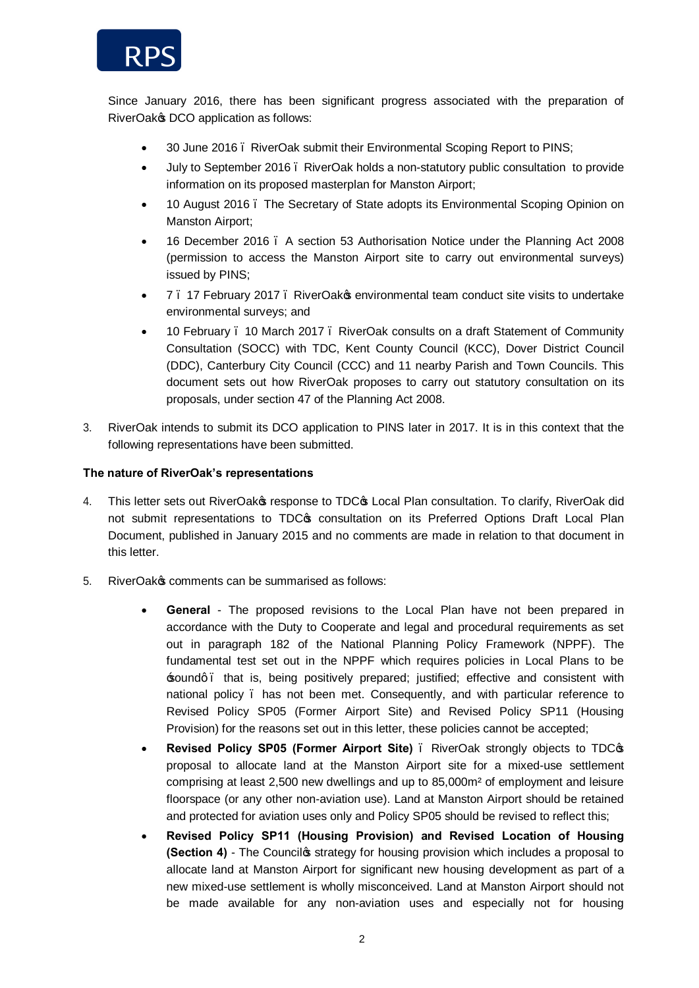

Since January 2016, there has been significant progress associated with the preparation of RiverOak $\infty$  DCO application as follows:

- · 30 June 2016 RiverOak submit their Environmental Scoping Report to PINS;
- · July to September 2016 RiverOak holds a non-statutory public consultation to provide information on its proposed masterplan for Manston Airport;
- · 10 August 2016 The Secretary of State adopts its Environmental Scoping Opinion on Manston Airport;
- · 16 December 2016 A section 53 Authorisation Notice under the Planning Act 2008 (permission to access the Manston Airport site to carry out environmental surveys) issued by PINS;
- 7. 17 February 2017. RiverOakos environmental team conduct site visits to undertake environmental surveys; and
- · 10 February 10 March 2017 RiverOak consults on a draft Statement of Community Consultation (SOCC) with TDC, Kent County Council (KCC), Dover District Council (DDC), Canterbury City Council (CCC) and 11 nearby Parish and Town Councils. This document sets out how RiverOak proposes to carry out statutory consultation on its proposals, under section 47 of the Planning Act 2008.
- 3. RiverOak intends to submit its DCO application to PINS later in 2017. It is in this context that the following representations have been submitted.

## **The nature of RiverOak's representations**

- 4. This letter sets out RiverOak response to TDC tocal Plan consultation. To clarify, RiverOak did not submit representations to TDC $\phi$  consultation on its Preferred Options Draft Local Plan Document, published in January 2015 and no comments are made in relation to that document in this letter.
- 5. RiverOak& comments can be summarised as follows:
	- · **General**  The proposed revisions to the Local Plan have not been prepared in accordance with the Duty to Cooperate and legal and procedural requirements as set out in paragraph 182 of the National Planning Policy Framework (NPPF). The fundamental test set out in the NPPF which requires policies in Local Plans to be 'sound' – that is, being positively prepared; justified; effective and consistent with national policy – has not been met. Consequently, and with particular reference to Revised Policy SP05 (Former Airport Site) and Revised Policy SP11 (Housing Provision) for the reasons set out in this letter, these policies cannot be accepted;
	- · **Revised Policy SP05 (Former Airport Site)** RiverOak strongly objects to TDC's proposal to allocate land at the Manston Airport site for a mixed-use settlement comprising at least 2,500 new dwellings and up to 85,000m² of employment and leisure floorspace (or any other non-aviation use). Land at Manston Airport should be retained and protected for aviation uses only and Policy SP05 should be revised to reflect this;
	- · **Revised Policy SP11 (Housing Provision) and Revised Location of Housing (Section 4)** - The Councilos strategy for housing provision which includes a proposal to allocate land at Manston Airport for significant new housing development as part of a new mixed-use settlement is wholly misconceived. Land at Manston Airport should not be made available for any non-aviation uses and especially not for housing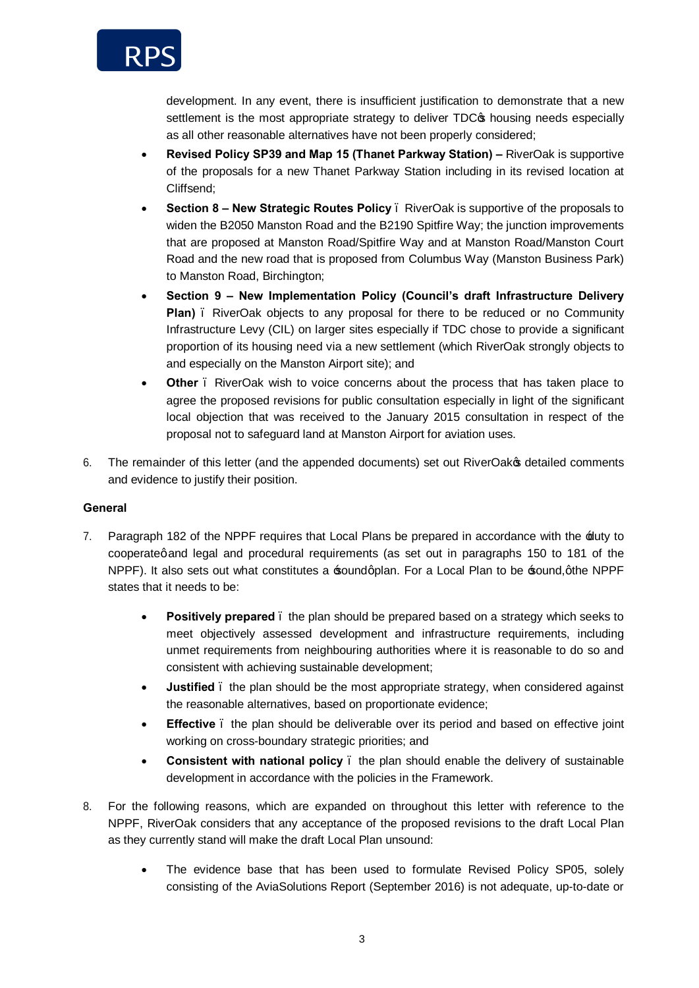

development. In any event, there is insufficient justification to demonstrate that a new settlement is the most appropriate strategy to deliver TDC<sub>\$</sub> housing needs especially as all other reasonable alternatives have not been properly considered;

- · **Revised Policy SP39 and Map 15 (Thanet Parkway Station) –** RiverOak is supportive of the proposals for a new Thanet Parkway Station including in its revised location at Cliffsend;
- · **Section 8 – New Strategic Routes Policy** RiverOak is supportive of the proposals to widen the B2050 Manston Road and the B2190 Spitfire Way; the junction improvements that are proposed at Manston Road/Spitfire Way and at Manston Road/Manston Court Road and the new road that is proposed from Columbus Way (Manston Business Park) to Manston Road, Birchington;
- · **Section 9 – New Implementation Policy (Council's draft Infrastructure Delivery Plan)** – RiverOak objects to any proposal for there to be reduced or no Community Infrastructure Levy (CIL) on larger sites especially if TDC chose to provide a significant proportion of its housing need via a new settlement (which RiverOak strongly objects to and especially on the Manston Airport site); and
- **Other** . RiverOak wish to voice concerns about the process that has taken place to agree the proposed revisions for public consultation especially in light of the significant local objection that was received to the January 2015 consultation in respect of the proposal not to safeguard land at Manston Airport for aviation uses.
- 6. The remainder of this letter (and the appended documents) set out RiverOak  $\phi$  detailed comments and evidence to justify their position.

## **General**

- 7. Paragraph 182 of the NPPF requires that Local Plans be prepared in accordance with the  $\pm$ uty to cooperategand legal and procedural requirements (as set out in paragraphs 150 to 181 of the NPPF). It also sets out what constitutes a soundgplan. For a Local Plan to be sound, othe NPPF states that it needs to be:
	- **Positively prepared** . the plan should be prepared based on a strategy which seeks to meet objectively assessed development and infrastructure requirements, including unmet requirements from neighbouring authorities where it is reasonable to do so and consistent with achieving sustainable development;
	- · **Justified**  the plan should be the most appropriate strategy, when considered against the reasonable alternatives, based on proportionate evidence;
	- **Effective** . the plan should be deliverable over its period and based on effective joint working on cross-boundary strategic priorities; and
	- · **Consistent with national policy** the plan should enable the delivery of sustainable development in accordance with the policies in the Framework.
- 8. For the following reasons, which are expanded on throughout this letter with reference to the NPPF, RiverOak considers that any acceptance of the proposed revisions to the draft Local Plan as they currently stand will make the draft Local Plan unsound:
	- The evidence base that has been used to formulate Revised Policy SP05, solely consisting of the AviaSolutions Report (September 2016) is not adequate, up-to-date or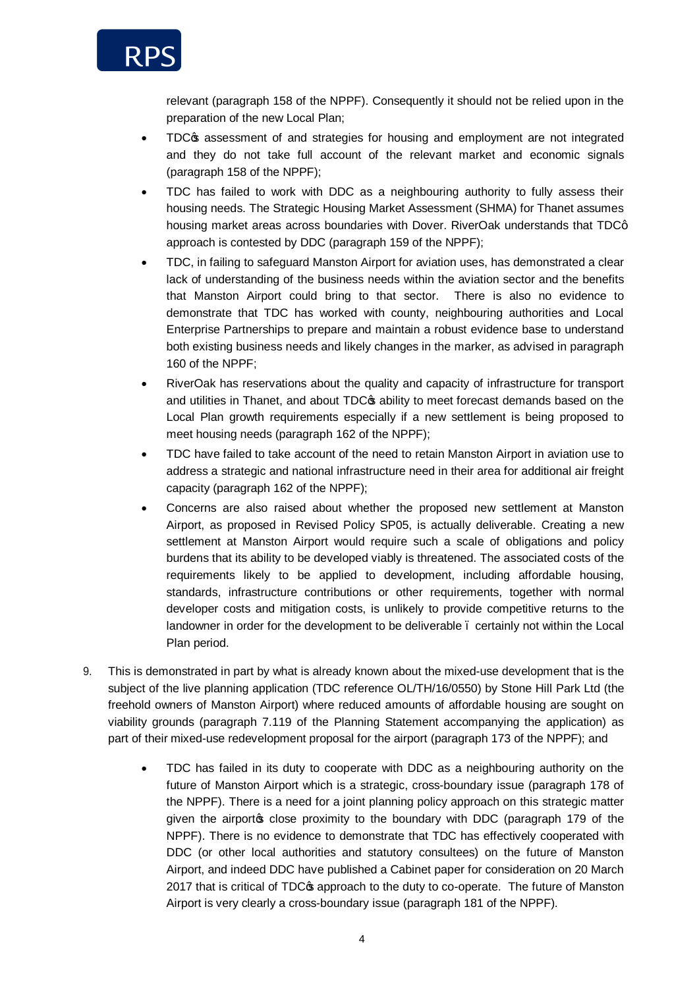

relevant (paragraph 158 of the NPPF). Consequently it should not be relied upon in the preparation of the new Local Plan;

- TDC $$$  assessment of and strategies for housing and employment are not integrated and they do not take full account of the relevant market and economic signals (paragraph 158 of the NPPF);
- · TDC has failed to work with DDC as a neighbouring authority to fully assess their housing needs. The Strategic Housing Market Assessment (SHMA) for Thanet assumes housing market areas across boundaries with Dover. RiverOak understands that TDCq approach is contested by DDC (paragraph 159 of the NPPF);
- · TDC, in failing to safeguard Manston Airport for aviation uses, has demonstrated a clear lack of understanding of the business needs within the aviation sector and the benefits that Manston Airport could bring to that sector. There is also no evidence to demonstrate that TDC has worked with county, neighbouring authorities and Local Enterprise Partnerships to prepare and maintain a robust evidence base to understand both existing business needs and likely changes in the marker, as advised in paragraph 160 of the NPPF;
- · RiverOak has reservations about the quality and capacity of infrastructure for transport and utilities in Thanet, and about TDC $\phi$  ability to meet forecast demands based on the Local Plan growth requirements especially if a new settlement is being proposed to meet housing needs (paragraph 162 of the NPPF);
- · TDC have failed to take account of the need to retain Manston Airport in aviation use to address a strategic and national infrastructure need in their area for additional air freight capacity (paragraph 162 of the NPPF);
- · Concerns are also raised about whether the proposed new settlement at Manston Airport, as proposed in Revised Policy SP05, is actually deliverable. Creating a new settlement at Manston Airport would require such a scale of obligations and policy burdens that its ability to be developed viably is threatened. The associated costs of the requirements likely to be applied to development, including affordable housing, standards, infrastructure contributions or other requirements, together with normal developer costs and mitigation costs, is unlikely to provide competitive returns to the landowner in order for the development to be deliverable – certainly not within the Local Plan period.
- 9. This is demonstrated in part by what is already known about the mixed-use development that is the subject of the live planning application (TDC reference OL/TH/16/0550) by Stone Hill Park Ltd (the freehold owners of Manston Airport) where reduced amounts of affordable housing are sought on viability grounds (paragraph 7.119 of the Planning Statement accompanying the application) as part of their mixed-use redevelopment proposal for the airport (paragraph 173 of the NPPF); and
	- · TDC has failed in its duty to cooperate with DDC as a neighbouring authority on the future of Manston Airport which is a strategic, cross-boundary issue (paragraph 178 of the NPPF). There is a need for a joint planning policy approach on this strategic matter given the airport close proximity to the boundary with DDC (paragraph 179 of the NPPF). There is no evidence to demonstrate that TDC has effectively cooperated with DDC (or other local authorities and statutory consultees) on the future of Manston Airport, and indeed DDC have published a Cabinet paper for consideration on 20 March 2017 that is critical of TDC $$$  approach to the duty to co-operate. The future of Manston Airport is very clearly a cross-boundary issue (paragraph 181 of the NPPF).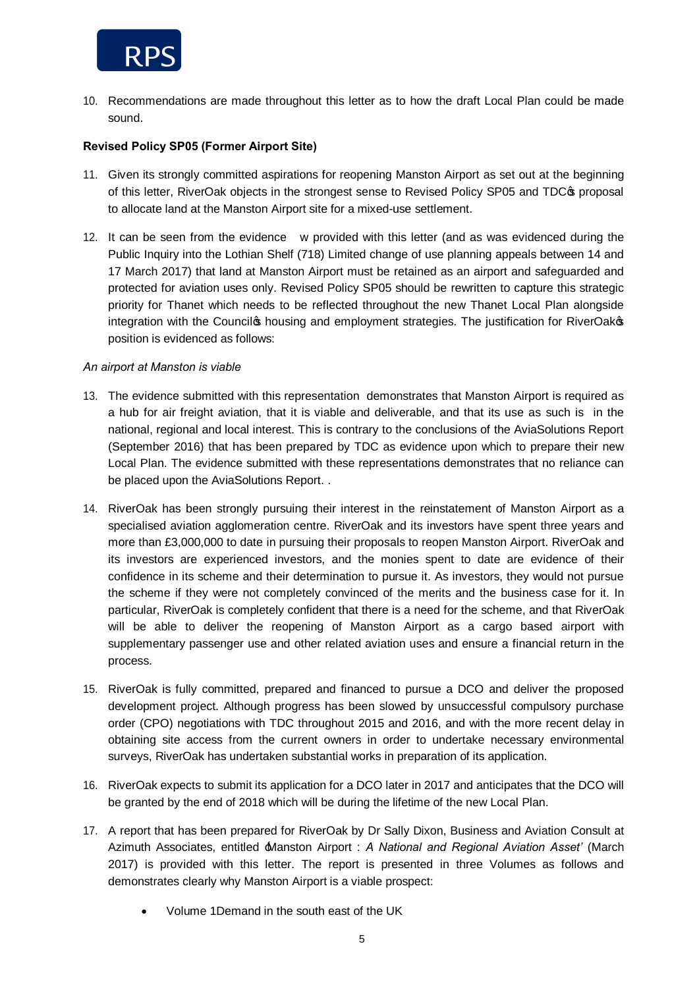

10. Recommendations are made throughout this letter as to how the draft Local Plan could be made sound.

## **Revised Policy SP05 (Former Airport Site)**

- 11. Given its strongly committed aspirations for reopening Manston Airport as set out at the beginning of this letter, RiverOak objects in the strongest sense to Revised Policy SP05 and TDC $\sigma$  proposal to allocate land at the Manston Airport site for a mixed-use settlement.
- 12. It can be seen from the evidence w provided with this letter (and as was evidenced during the Public Inquiry into the Lothian Shelf (718) Limited change of use planning appeals between 14 and 17 March 2017) that land at Manston Airport must be retained as an airport and safeguarded and protected for aviation uses only. Revised Policy SP05 should be rewritten to capture this strategic priority for Thanet which needs to be reflected throughout the new Thanet Local Plan alongside integration with the Council to housing and employment strategies. The justification for RiverOak<sup>®</sup> position is evidenced as follows:

#### *An airport at Manston is viable*

- 13. The evidence submitted with this representation demonstrates that Manston Airport is required as a hub for air freight aviation, that it is viable and deliverable, and that its use as such is in the national, regional and local interest. This is contrary to the conclusions of the AviaSolutions Report (September 2016) that has been prepared by TDC as evidence upon which to prepare their new Local Plan. The evidence submitted with these representations demonstrates that no reliance can be placed upon the AviaSolutions Report. .
- 14. RiverOak has been strongly pursuing their interest in the reinstatement of Manston Airport as a specialised aviation agglomeration centre. RiverOak and its investors have spent three years and more than £3,000,000 to date in pursuing their proposals to reopen Manston Airport. RiverOak and its investors are experienced investors, and the monies spent to date are evidence of their confidence in its scheme and their determination to pursue it. As investors, they would not pursue the scheme if they were not completely convinced of the merits and the business case for it. In particular, RiverOak is completely confident that there is a need for the scheme, and that RiverOak will be able to deliver the reopening of Manston Airport as a cargo based airport with supplementary passenger use and other related aviation uses and ensure a financial return in the process.
- 15. RiverOak is fully committed, prepared and financed to pursue a DCO and deliver the proposed development project. Although progress has been slowed by unsuccessful compulsory purchase order (CPO) negotiations with TDC throughout 2015 and 2016, and with the more recent delay in obtaining site access from the current owners in order to undertake necessary environmental surveys, RiverOak has undertaken substantial works in preparation of its application.
- 16. RiverOak expects to submit its application for a DCO later in 2017 and anticipates that the DCO will be granted by the end of 2018 which will be during the lifetime of the new Local Plan.
- 17. A report that has been prepared for RiverOak by Dr Sally Dixon, Business and Aviation Consult at Azimuth Associates, entitled 'Manston Airport : *A National and Regional Aviation Asset'* (March 2017) is provided with this letter. The report is presented in three Volumes as follows and demonstrates clearly why Manston Airport is a viable prospect:
	- · Volume 1Demand in the south east of the UK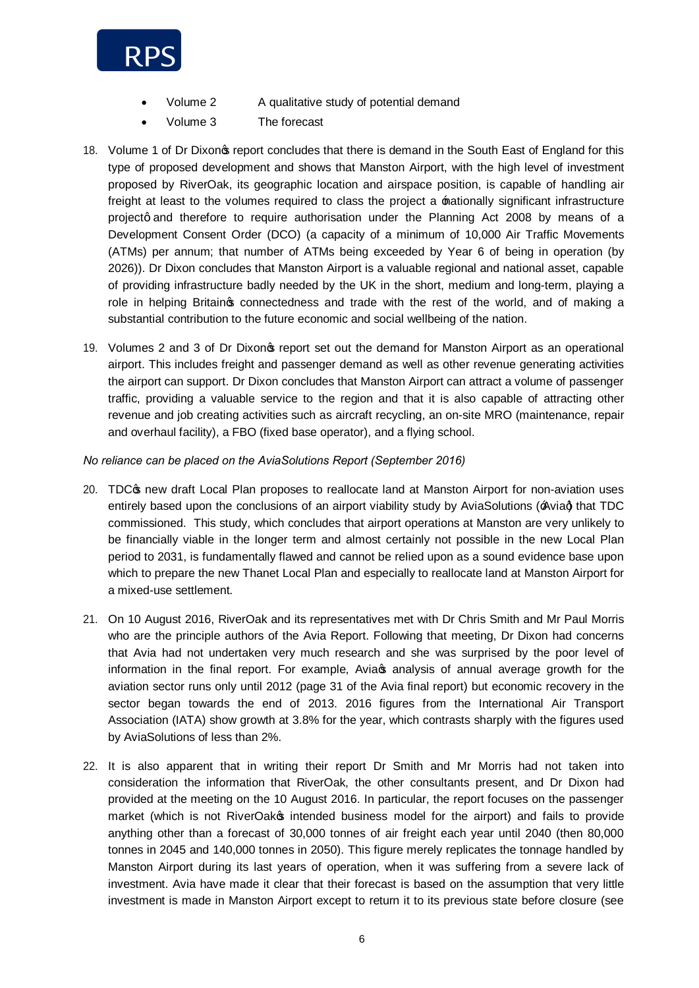

- Volume 2 A qualitative study of potential demand
- Volume 3 The forecast
- 18. Volume 1 of Dr Dixonos report concludes that there is demand in the South East of England for this type of proposed development and shows that Manston Airport, with the high level of investment proposed by RiverOak, its geographic location and airspace position, is capable of handling air freight at least to the volumes required to class the project a  $\pm$  attionally significant infrastructure projectg and therefore to require authorisation under the Planning Act 2008 by means of a Development Consent Order (DCO) (a capacity of a minimum of 10,000 Air Traffic Movements (ATMs) per annum; that number of ATMs being exceeded by Year 6 of being in operation (by 2026)). Dr Dixon concludes that Manston Airport is a valuable regional and national asset, capable of providing infrastructure badly needed by the UK in the short, medium and long-term, playing a role in helping Britain to connectedness and trade with the rest of the world, and of making a substantial contribution to the future economic and social wellbeing of the nation.
- 19. Volumes 2 and 3 of Dr Dixon's report set out the demand for Manston Airport as an operational airport. This includes freight and passenger demand as well as other revenue generating activities the airport can support. Dr Dixon concludes that Manston Airport can attract a volume of passenger traffic, providing a valuable service to the region and that it is also capable of attracting other revenue and job creating activities such as aircraft recycling, an on-site MRO (maintenance, repair and overhaul facility), a FBO (fixed base operator), and a flying school.

*No reliance can be placed on the AviaSolutions Report (September 2016)* 

- 20. TDC $\sigma$  new draft Local Plan proposes to reallocate land at Manston Airport for non-aviation uses entirely based upon the conclusions of an airport viability study by AviaSolutions ( $\angle$ Avia $\Diamond$ ) that TDC commissioned. This study, which concludes that airport operations at Manston are very unlikely to be financially viable in the longer term and almost certainly not possible in the new Local Plan period to 2031, is fundamentally flawed and cannot be relied upon as a sound evidence base upon which to prepare the new Thanet Local Plan and especially to reallocate land at Manston Airport for a mixed-use settlement.
- 21. On 10 August 2016, RiverOak and its representatives met with Dr Chris Smith and Mr Paul Morris who are the principle authors of the Avia Report. Following that meeting, Dr Dixon had concerns that Avia had not undertaken very much research and she was surprised by the poor level of information in the final report. For example, Aviac analysis of annual average growth for the aviation sector runs only until 2012 (page 31 of the Avia final report) but economic recovery in the sector began towards the end of 2013. 2016 figures from the International Air Transport Association (IATA) show growth at 3.8% for the year, which contrasts sharply with the figures used by AviaSolutions of less than 2%.
- 22. It is also apparent that in writing their report Dr Smith and Mr Morris had not taken into consideration the information that RiverOak, the other consultants present, and Dr Dixon had provided at the meeting on the 10 August 2016. In particular, the report focuses on the passenger market (which is not RiverOak<sub>®</sub> intended business model for the airport) and fails to provide anything other than a forecast of 30,000 tonnes of air freight each year until 2040 (then 80,000 tonnes in 2045 and 140,000 tonnes in 2050). This figure merely replicates the tonnage handled by Manston Airport during its last years of operation, when it was suffering from a severe lack of investment. Avia have made it clear that their forecast is based on the assumption that very little investment is made in Manston Airport except to return it to its previous state before closure (see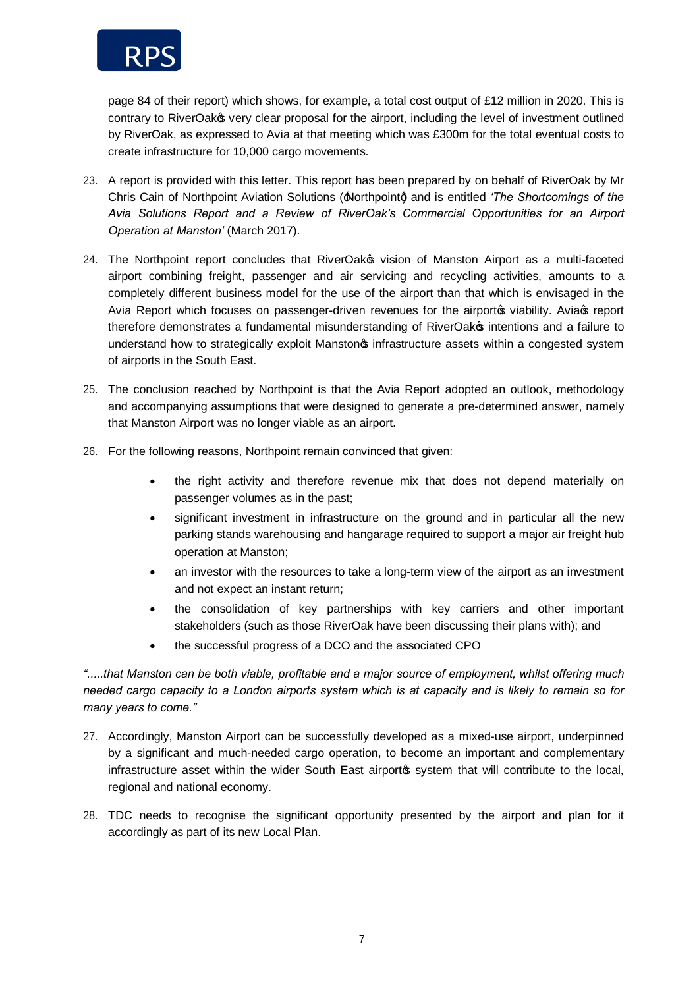

page 84 of their report) which shows, for example, a total cost output of £12 million in 2020. This is contrary to RiverOak $\infty$  very clear proposal for the airport, including the level of investment outlined by RiverOak, as expressed to Avia at that meeting which was £300m for the total eventual costs to create infrastructure for 10,000 cargo movements.

- 23. A report is provided with this letter. This report has been prepared by on behalf of RiverOak by Mr Chris Cain of Northpoint Aviation Solutions ( $\triangle$ orthpoint $\diamond$ ) and is entitled *'The Shortcomings of the Avia Solutions Report and a Review of RiverOak's Commercial Opportunities for an Airport Operation at Manston'* (March 2017).
- 24. The Northpoint report concludes that RiverOakos vision of Manston Airport as a multi-faceted airport combining freight, passenger and air servicing and recycling activities, amounts to a completely different business model for the use of the airport than that which is envisaged in the Avia Report which focuses on passenger-driven revenues for the airport wiability. Avia teport therefore demonstrates a fundamental misunderstanding of RiverOako intentions and a failure to understand how to strategically exploit Manstonos infrastructure assets within a congested system of airports in the South East.
- 25. The conclusion reached by Northpoint is that the Avia Report adopted an outlook, methodology and accompanying assumptions that were designed to generate a pre-determined answer, namely that Manston Airport was no longer viable as an airport.
- 26. For the following reasons, Northpoint remain convinced that given:
	- the right activity and therefore revenue mix that does not depend materially on passenger volumes as in the past;
	- significant investment in infrastructure on the ground and in particular all the new parking stands warehousing and hangarage required to support a major air freight hub operation at Manston;
	- an investor with the resources to take a long-term view of the airport as an investment and not expect an instant return;
	- the consolidation of key partnerships with key carriers and other important stakeholders (such as those RiverOak have been discussing their plans with); and
	- · the successful progress of a DCO and the associated CPO

*".....that Manston can be both viable, profitable and a major source of employment, whilst offering much needed cargo capacity to a London airports system which is at capacity and is likely to remain so for many years to come."*

- 27. Accordingly, Manston Airport can be successfully developed as a mixed-use airport, underpinned by a significant and much-needed cargo operation, to become an important and complementary infrastructure asset within the wider South East airportos system that will contribute to the local, regional and national economy.
- 28. TDC needs to recognise the significant opportunity presented by the airport and plan for it accordingly as part of its new Local Plan.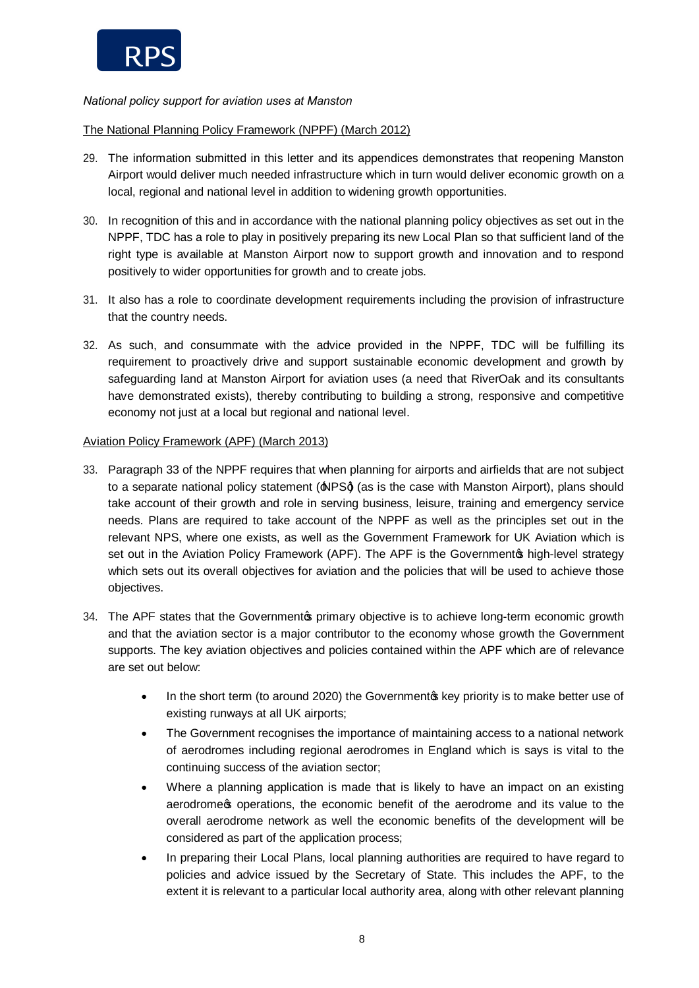

# *National policy support for aviation uses at Manston*

## The National Planning Policy Framework (NPPF) (March 2012)

- 29. The information submitted in this letter and its appendices demonstrates that reopening Manston Airport would deliver much needed infrastructure which in turn would deliver economic growth on a local, regional and national level in addition to widening growth opportunities.
- 30. In recognition of this and in accordance with the national planning policy objectives as set out in the NPPF, TDC has a role to play in positively preparing its new Local Plan so that sufficient land of the right type is available at Manston Airport now to support growth and innovation and to respond positively to wider opportunities for growth and to create jobs.
- 31. It also has a role to coordinate development requirements including the provision of infrastructure that the country needs.
- 32. As such, and consummate with the advice provided in the NPPF, TDC will be fulfilling its requirement to proactively drive and support sustainable economic development and growth by safeguarding land at Manston Airport for aviation uses (a need that RiverOak and its consultants have demonstrated exists), thereby contributing to building a strong, responsive and competitive economy not just at a local but regional and national level.

## Aviation Policy Framework (APF) (March 2013)

- 33. Paragraph 33 of the NPPF requires that when planning for airports and airfields that are not subject to a separate national policy statement ( $\triangle PSd$ ) (as is the case with Manston Airport), plans should take account of their growth and role in serving business, leisure, training and emergency service needs. Plans are required to take account of the NPPF as well as the principles set out in the relevant NPS, where one exists, as well as the Government Framework for UK Aviation which is set out in the Aviation Policy Framework (APF). The APF is the Governmentos high-level strategy which sets out its overall objectives for aviation and the policies that will be used to achieve those objectives.
- 34. The APF states that the Governmentos primary objective is to achieve long-term economic growth and that the aviation sector is a major contributor to the economy whose growth the Government supports. The key aviation objectives and policies contained within the APF which are of relevance are set out below:
	- In the short term (to around 2020) the Government to key priority is to make better use of existing runways at all UK airports;
	- · The Government recognises the importance of maintaining access to a national network of aerodromes including regional aerodromes in England which is says is vital to the continuing success of the aviation sector;
	- · Where a planning application is made that is likely to have an impact on an existing aerodrome to operations, the economic benefit of the aerodrome and its value to the overall aerodrome network as well the economic benefits of the development will be considered as part of the application process;
	- · In preparing their Local Plans, local planning authorities are required to have regard to policies and advice issued by the Secretary of State. This includes the APF, to the extent it is relevant to a particular local authority area, along with other relevant planning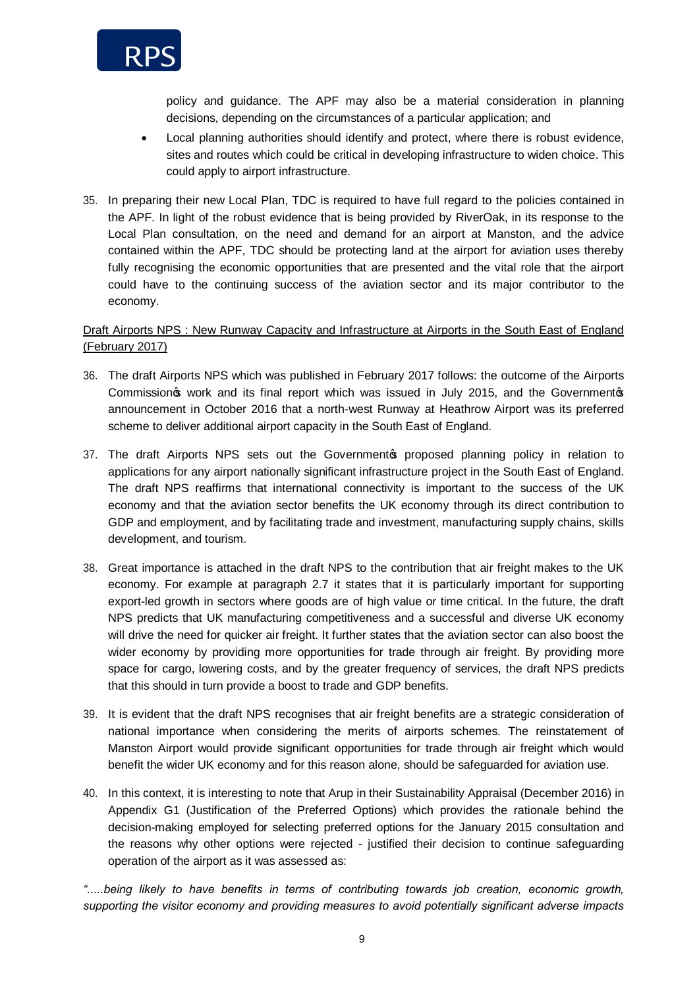

policy and guidance. The APF may also be a material consideration in planning decisions, depending on the circumstances of a particular application; and

- · Local planning authorities should identify and protect, where there is robust evidence, sites and routes which could be critical in developing infrastructure to widen choice. This could apply to airport infrastructure.
- 35. In preparing their new Local Plan, TDC is required to have full regard to the policies contained in the APF. In light of the robust evidence that is being provided by RiverOak, in its response to the Local Plan consultation, on the need and demand for an airport at Manston, and the advice contained within the APF, TDC should be protecting land at the airport for aviation uses thereby fully recognising the economic opportunities that are presented and the vital role that the airport could have to the continuing success of the aviation sector and its major contributor to the economy.

# Draft Airports NPS : New Runway Capacity and Infrastructure at Airports in the South East of England (February 2017)

- 36. The draft Airports NPS which was published in February 2017 follows: the outcome of the Airports Commission twork and its final report which was issued in July 2015, and the Government of announcement in October 2016 that a north-west Runway at Heathrow Airport was its preferred scheme to deliver additional airport capacity in the South East of England.
- 37. The draft Airports NPS sets out the Governmentos proposed planning policy in relation to applications for any airport nationally significant infrastructure project in the South East of England. The draft NPS reaffirms that international connectivity is important to the success of the UK economy and that the aviation sector benefits the UK economy through its direct contribution to GDP and employment, and by facilitating trade and investment, manufacturing supply chains, skills development, and tourism.
- 38. Great importance is attached in the draft NPS to the contribution that air freight makes to the UK economy. For example at paragraph 2.7 it states that it is particularly important for supporting export-led growth in sectors where goods are of high value or time critical. In the future, the draft NPS predicts that UK manufacturing competitiveness and a successful and diverse UK economy will drive the need for quicker air freight. It further states that the aviation sector can also boost the wider economy by providing more opportunities for trade through air freight. By providing more space for cargo, lowering costs, and by the greater frequency of services, the draft NPS predicts that this should in turn provide a boost to trade and GDP benefits.
- 39. It is evident that the draft NPS recognises that air freight benefits are a strategic consideration of national importance when considering the merits of airports schemes. The reinstatement of Manston Airport would provide significant opportunities for trade through air freight which would benefit the wider UK economy and for this reason alone, should be safeguarded for aviation use.
- 40. In this context, it is interesting to note that Arup in their Sustainability Appraisal (December 2016) in Appendix G1 (Justification of the Preferred Options) which provides the rationale behind the decision-making employed for selecting preferred options for the January 2015 consultation and the reasons why other options were rejected - justified their decision to continue safeguarding operation of the airport as it was assessed as:

*".....being likely to have benefits in terms of contributing towards job creation, economic growth, supporting the visitor economy and providing measures to avoid potentially significant adverse impacts*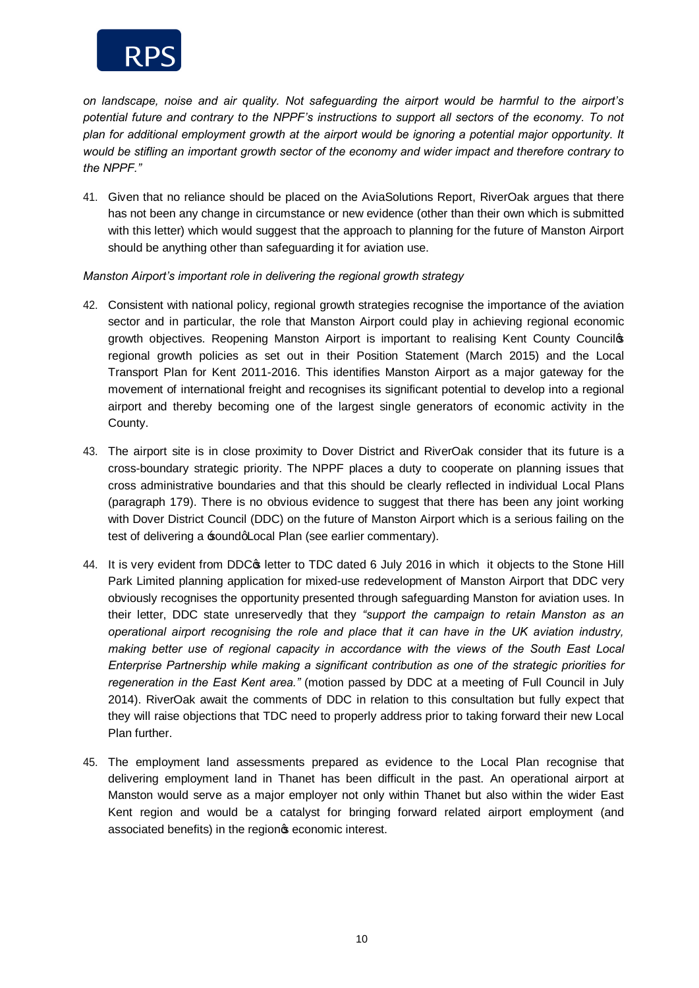

*on landscape, noise and air quality. Not safeguarding the airport would be harmful to the airport's potential future and contrary to the NPPF's instructions to support all sectors of the economy. To not plan for additional employment growth at the airport would be ignoring a potential major opportunity. It would be stifling an important growth sector of the economy and wider impact and therefore contrary to the NPPF."* 

41. Given that no reliance should be placed on the AviaSolutions Report, RiverOak argues that there has not been any change in circumstance or new evidence (other than their own which is submitted with this letter) which would suggest that the approach to planning for the future of Manston Airport should be anything other than safeguarding it for aviation use.

### *Manston Airport's important role in delivering the regional growth strategy*

- 42. Consistent with national policy, regional growth strategies recognise the importance of the aviation sector and in particular, the role that Manston Airport could play in achieving regional economic growth objectives. Reopening Manston Airport is important to realising Kent County Council's regional growth policies as set out in their Position Statement (March 2015) and the Local Transport Plan for Kent 2011-2016. This identifies Manston Airport as a major gateway for the movement of international freight and recognises its significant potential to develop into a regional airport and thereby becoming one of the largest single generators of economic activity in the County.
- 43. The airport site is in close proximity to Dover District and RiverOak consider that its future is a cross-boundary strategic priority. The NPPF places a duty to cooperate on planning issues that cross administrative boundaries and that this should be clearly reflected in individual Local Plans (paragraph 179). There is no obvious evidence to suggest that there has been any joint working with Dover District Council (DDC) on the future of Manston Airport which is a serious failing on the test of delivering a soundgLocal Plan (see earlier commentary).
- 44. It is very evident from DDC $\circ$  letter to TDC dated 6 July 2016 in which it objects to the Stone Hill Park Limited planning application for mixed-use redevelopment of Manston Airport that DDC very obviously recognises the opportunity presented through safeguarding Manston for aviation uses. In their letter, DDC state unreservedly that they *"support the campaign to retain Manston as an operational airport recognising the role and place that it can have in the UK aviation industry, making better use of regional capacity in accordance with the views of the South East Local Enterprise Partnership while making a significant contribution as one of the strategic priorities for regeneration in the East Kent area."* (motion passed by DDC at a meeting of Full Council in July 2014). RiverOak await the comments of DDC in relation to this consultation but fully expect that they will raise objections that TDC need to properly address prior to taking forward their new Local Plan further.
- 45. The employment land assessments prepared as evidence to the Local Plan recognise that delivering employment land in Thanet has been difficult in the past. An operational airport at Manston would serve as a major employer not only within Thanet but also within the wider East Kent region and would be a catalyst for bringing forward related airport employment (and associated benefits) in the region seconomic interest.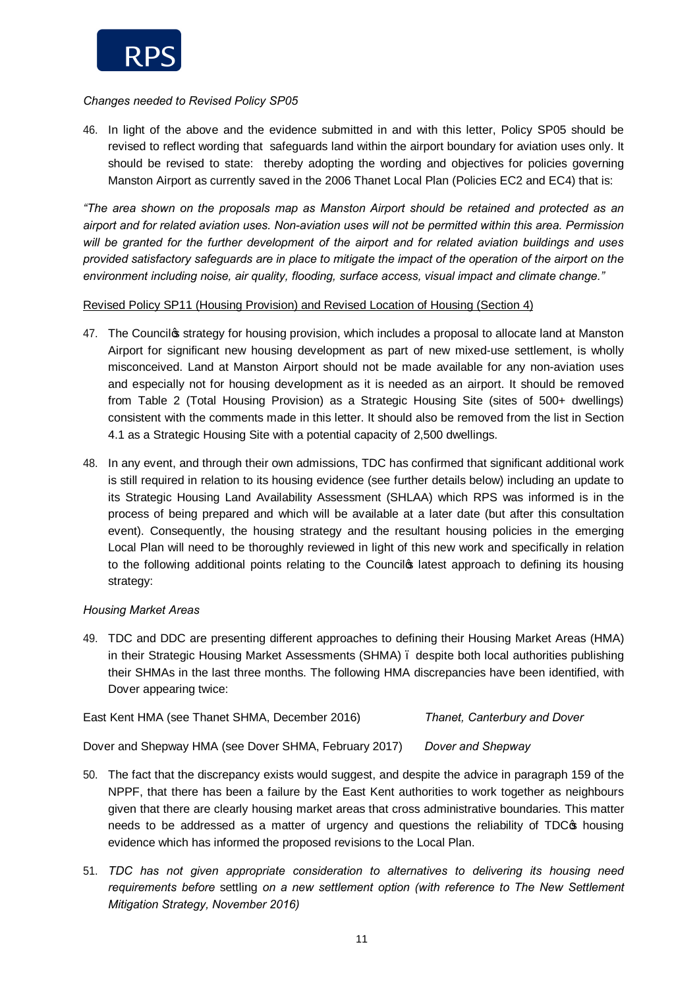

## *Changes needed to Revised Policy SP05*

46. In light of the above and the evidence submitted in and with this letter, Policy SP05 should be revised to reflect wording that safeguards land within the airport boundary for aviation uses only. It should be revised to state: thereby adopting the wording and objectives for policies governing Manston Airport as currently saved in the 2006 Thanet Local Plan (Policies EC2 and EC4) that is:

*"The area shown on the proposals map as Manston Airport should be retained and protected as an airport and for related aviation uses. Non-aviation uses will not be permitted within this area. Permission will be granted for the further development of the airport and for related aviation buildings and uses provided satisfactory safeguards are in place to mitigate the impact of the operation of the airport on the environment including noise, air quality, flooding, surface access, visual impact and climate change."*

# Revised Policy SP11 (Housing Provision) and Revised Location of Housing (Section 4)

- 47. The Councilos strategy for housing provision, which includes a proposal to allocate land at Manston Airport for significant new housing development as part of new mixed-use settlement, is wholly misconceived. Land at Manston Airport should not be made available for any non-aviation uses and especially not for housing development as it is needed as an airport. It should be removed from Table 2 (Total Housing Provision) as a Strategic Housing Site (sites of 500+ dwellings) consistent with the comments made in this letter. It should also be removed from the list in Section 4.1 as a Strategic Housing Site with a potential capacity of 2,500 dwellings.
- 48. In any event, and through their own admissions, TDC has confirmed that significant additional work is still required in relation to its housing evidence (see further details below) including an update to its Strategic Housing Land Availability Assessment (SHLAA) which RPS was informed is in the process of being prepared and which will be available at a later date (but after this consultation event). Consequently, the housing strategy and the resultant housing policies in the emerging Local Plan will need to be thoroughly reviewed in light of this new work and specifically in relation to the following additional points relating to the Council<sup>®</sup> latest approach to defining its housing strategy:

# *Housing Market Areas*

49. TDC and DDC are presenting different approaches to defining their Housing Market Areas (HMA) in their Strategic Housing Market Assessments (SHMA) – despite both local authorities publishing their SHMAs in the last three months. The following HMA discrepancies have been identified, with Dover appearing twice:

East Kent HMA (see Thanet SHMA, December 2016) *Thanet, Canterbury and Dover*

Dover and Shepway HMA (see Dover SHMA, February 2017) *Dover and Shepway*

- 50. The fact that the discrepancy exists would suggest, and despite the advice in paragraph 159 of the NPPF, that there has been a failure by the East Kent authorities to work together as neighbours given that there are clearly housing market areas that cross administrative boundaries. This matter needs to be addressed as a matter of urgency and questions the reliability of TDC $\phi$  housing evidence which has informed the proposed revisions to the Local Plan.
- 51. *TDC has not given appropriate consideration to alternatives to delivering its housing need requirements before* settling *on a new settlement option (with reference to The New Settlement Mitigation Strategy, November 2016)*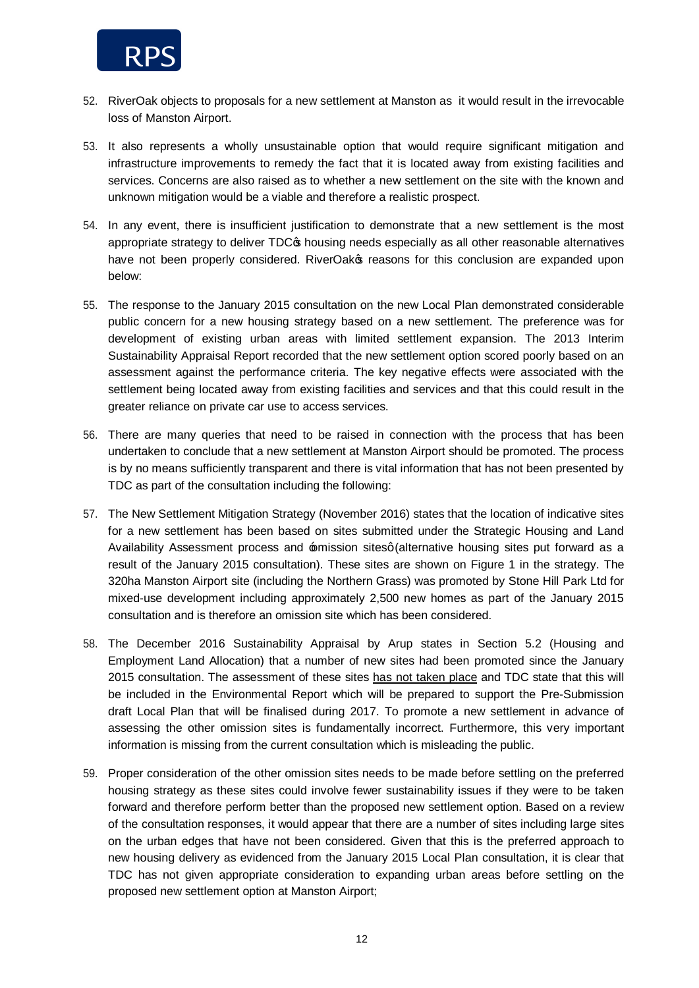

- 52. RiverOak objects to proposals for a new settlement at Manston as it would result in the irrevocable loss of Manston Airport.
- 53. It also represents a wholly unsustainable option that would require significant mitigation and infrastructure improvements to remedy the fact that it is located away from existing facilities and services. Concerns are also raised as to whether a new settlement on the site with the known and unknown mitigation would be a viable and therefore a realistic prospect.
- 54. In any event, there is insufficient justification to demonstrate that a new settlement is the most appropriate strategy to deliver TDC $\phi$  housing needs especially as all other reasonable alternatives have not been properly considered. RiverOakos reasons for this conclusion are expanded upon below:
- 55. The response to the January 2015 consultation on the new Local Plan demonstrated considerable public concern for a new housing strategy based on a new settlement. The preference was for development of existing urban areas with limited settlement expansion. The 2013 Interim Sustainability Appraisal Report recorded that the new settlement option scored poorly based on an assessment against the performance criteria. The key negative effects were associated with the settlement being located away from existing facilities and services and that this could result in the greater reliance on private car use to access services.
- 56. There are many queries that need to be raised in connection with the process that has been undertaken to conclude that a new settlement at Manston Airport should be promoted. The process is by no means sufficiently transparent and there is vital information that has not been presented by TDC as part of the consultation including the following:
- 57. The New Settlement Mitigation Strategy (November 2016) states that the location of indicative sites for a new settlement has been based on sites submitted under the Strategic Housing and Land Availability Assessment process and  $\triangle$ mission sitesg (alternative housing sites put forward as a result of the January 2015 consultation). These sites are shown on Figure 1 in the strategy. The 320ha Manston Airport site (including the Northern Grass) was promoted by Stone Hill Park Ltd for mixed-use development including approximately 2,500 new homes as part of the January 2015 consultation and is therefore an omission site which has been considered.
- 58. The December 2016 Sustainability Appraisal by Arup states in Section 5.2 (Housing and Employment Land Allocation) that a number of new sites had been promoted since the January 2015 consultation. The assessment of these sites has not taken place and TDC state that this will be included in the Environmental Report which will be prepared to support the Pre-Submission draft Local Plan that will be finalised during 2017. To promote a new settlement in advance of assessing the other omission sites is fundamentally incorrect. Furthermore, this very important information is missing from the current consultation which is misleading the public.
- 59. Proper consideration of the other omission sites needs to be made before settling on the preferred housing strategy as these sites could involve fewer sustainability issues if they were to be taken forward and therefore perform better than the proposed new settlement option. Based on a review of the consultation responses, it would appear that there are a number of sites including large sites on the urban edges that have not been considered. Given that this is the preferred approach to new housing delivery as evidenced from the January 2015 Local Plan consultation, it is clear that TDC has not given appropriate consideration to expanding urban areas before settling on the proposed new settlement option at Manston Airport;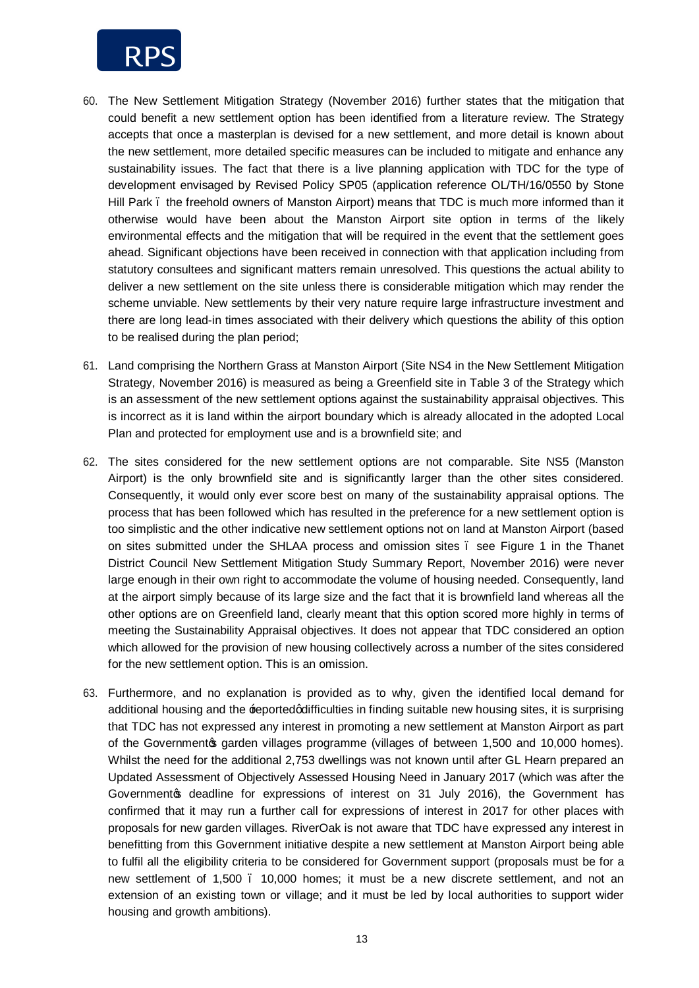

- 60. The New Settlement Mitigation Strategy (November 2016) further states that the mitigation that could benefit a new settlement option has been identified from a literature review. The Strategy accepts that once a masterplan is devised for a new settlement, and more detail is known about the new settlement, more detailed specific measures can be included to mitigate and enhance any sustainability issues. The fact that there is a live planning application with TDC for the type of development envisaged by Revised Policy SP05 (application reference OL/TH/16/0550 by Stone Hill Park – the freehold owners of Manston Airport) means that TDC is much more informed than it otherwise would have been about the Manston Airport site option in terms of the likely environmental effects and the mitigation that will be required in the event that the settlement goes ahead. Significant objections have been received in connection with that application including from statutory consultees and significant matters remain unresolved. This questions the actual ability to deliver a new settlement on the site unless there is considerable mitigation which may render the scheme unviable. New settlements by their very nature require large infrastructure investment and there are long lead-in times associated with their delivery which questions the ability of this option to be realised during the plan period;
- 61. Land comprising the Northern Grass at Manston Airport (Site NS4 in the New Settlement Mitigation Strategy, November 2016) is measured as being a Greenfield site in Table 3 of the Strategy which is an assessment of the new settlement options against the sustainability appraisal objectives. This is incorrect as it is land within the airport boundary which is already allocated in the adopted Local Plan and protected for employment use and is a brownfield site; and
- 62. The sites considered for the new settlement options are not comparable. Site NS5 (Manston Airport) is the only brownfield site and is significantly larger than the other sites considered. Consequently, it would only ever score best on many of the sustainability appraisal options. The process that has been followed which has resulted in the preference for a new settlement option is too simplistic and the other indicative new settlement options not on land at Manston Airport (based on sites submitted under the SHLAA process and omission sites – see Figure 1 in the Thanet District Council New Settlement Mitigation Study Summary Report, November 2016) were never large enough in their own right to accommodate the volume of housing needed. Consequently, land at the airport simply because of its large size and the fact that it is brownfield land whereas all the other options are on Greenfield land, clearly meant that this option scored more highly in terms of meeting the Sustainability Appraisal objectives. It does not appear that TDC considered an option which allowed for the provision of new housing collectively across a number of the sites considered for the new settlement option. This is an omission.
- 63. Furthermore, and no explanation is provided as to why, given the identified local demand for additional housing and the reported difficulties in finding suitable new housing sites, it is surprising that TDC has not expressed any interest in promoting a new settlement at Manston Airport as part of the Government garden villages programme (villages of between 1,500 and 10,000 homes). Whilst the need for the additional 2,753 dwellings was not known until after GL Hearn prepared an Updated Assessment of Objectively Assessed Housing Need in January 2017 (which was after the Governmento deadline for expressions of interest on 31 July 2016), the Government has confirmed that it may run a further call for expressions of interest in 2017 for other places with proposals for new garden villages. RiverOak is not aware that TDC have expressed any interest in benefitting from this Government initiative despite a new settlement at Manston Airport being able to fulfil all the eligibility criteria to be considered for Government support (proposals must be for a new settlement of 1,500 . 10,000 homes; it must be a new discrete settlement, and not an extension of an existing town or village; and it must be led by local authorities to support wider housing and growth ambitions).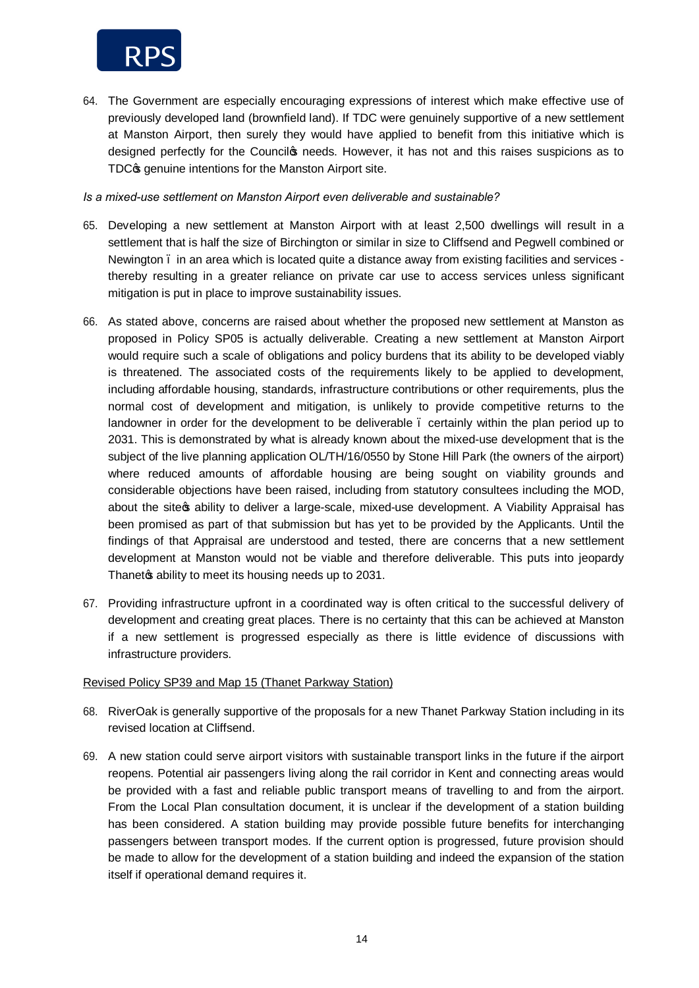

64. The Government are especially encouraging expressions of interest which make effective use of previously developed land (brownfield land). If TDC were genuinely supportive of a new settlement at Manston Airport, then surely they would have applied to benefit from this initiative which is designed perfectly for the Council to needs. However, it has not and this raises suspicions as to TDC $$$  genuine intentions for the Manston Airport site.

*Is a mixed-use settlement on Manston Airport even deliverable and sustainable?*

- 65. Developing a new settlement at Manston Airport with at least 2,500 dwellings will result in a settlement that is half the size of Birchington or similar in size to Cliffsend and Pegwell combined or Newington – in an area which is located quite a distance away from existing facilities and services thereby resulting in a greater reliance on private car use to access services unless significant mitigation is put in place to improve sustainability issues.
- 66. As stated above, concerns are raised about whether the proposed new settlement at Manston as proposed in Policy SP05 is actually deliverable. Creating a new settlement at Manston Airport would require such a scale of obligations and policy burdens that its ability to be developed viably is threatened. The associated costs of the requirements likely to be applied to development, including affordable housing, standards, infrastructure contributions or other requirements, plus the normal cost of development and mitigation, is unlikely to provide competitive returns to the landowner in order for the development to be deliverable – certainly within the plan period up to 2031. This is demonstrated by what is already known about the mixed-use development that is the subject of the live planning application OL/TH/16/0550 by Stone Hill Park (the owners of the airport) where reduced amounts of affordable housing are being sought on viability grounds and considerable objections have been raised, including from statutory consultees including the MOD, about the site os ability to deliver a large-scale, mixed-use development. A Viability Appraisal has been promised as part of that submission but has yet to be provided by the Applicants. Until the findings of that Appraisal are understood and tested, there are concerns that a new settlement development at Manston would not be viable and therefore deliverable. This puts into jeopardy Thanet a ability to meet its housing needs up to 2031.
- 67. Providing infrastructure upfront in a coordinated way is often critical to the successful delivery of development and creating great places. There is no certainty that this can be achieved at Manston if a new settlement is progressed especially as there is little evidence of discussions with infrastructure providers.

## Revised Policy SP39 and Map 15 (Thanet Parkway Station)

- 68. RiverOak is generally supportive of the proposals for a new Thanet Parkway Station including in its revised location at Cliffsend.
- 69. A new station could serve airport visitors with sustainable transport links in the future if the airport reopens. Potential air passengers living along the rail corridor in Kent and connecting areas would be provided with a fast and reliable public transport means of travelling to and from the airport. From the Local Plan consultation document, it is unclear if the development of a station building has been considered. A station building may provide possible future benefits for interchanging passengers between transport modes. If the current option is progressed, future provision should be made to allow for the development of a station building and indeed the expansion of the station itself if operational demand requires it.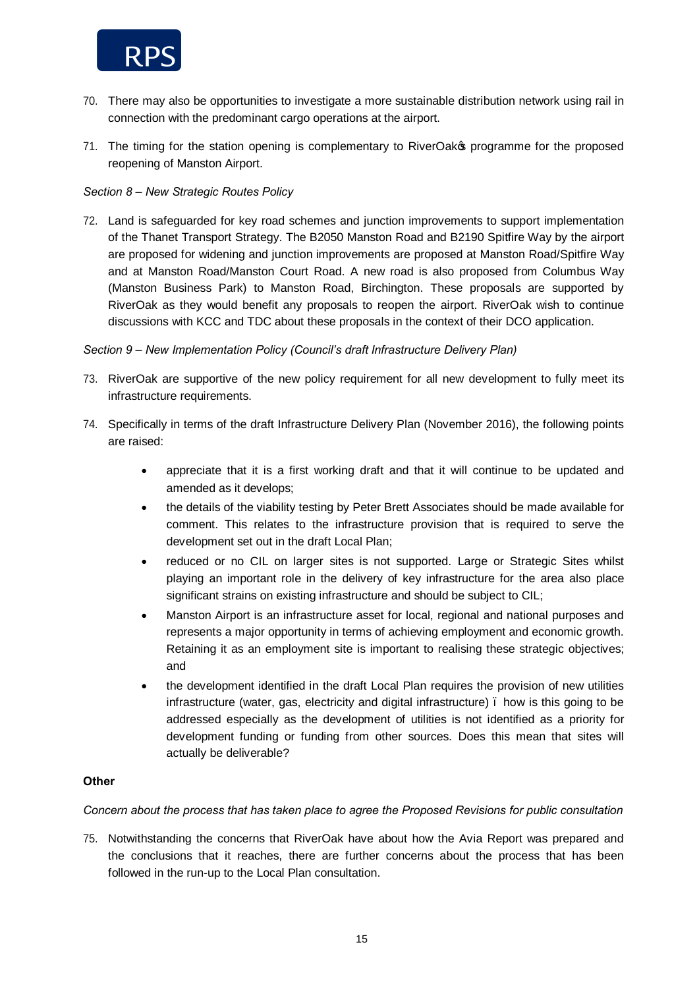

- 70. There may also be opportunities to investigate a more sustainable distribution network using rail in connection with the predominant cargo operations at the airport.
- 71. The timing for the station opening is complementary to RiverOakop programme for the proposed reopening of Manston Airport.

### *Section 8 – New Strategic Routes Policy*

72. Land is safeguarded for key road schemes and junction improvements to support implementation of the Thanet Transport Strategy. The B2050 Manston Road and B2190 Spitfire Way by the airport are proposed for widening and junction improvements are proposed at Manston Road/Spitfire Way and at Manston Road/Manston Court Road. A new road is also proposed from Columbus Way (Manston Business Park) to Manston Road, Birchington. These proposals are supported by RiverOak as they would benefit any proposals to reopen the airport. RiverOak wish to continue discussions with KCC and TDC about these proposals in the context of their DCO application.

#### *Section 9 – New Implementation Policy (Council's draft Infrastructure Delivery Plan)*

- 73. RiverOak are supportive of the new policy requirement for all new development to fully meet its infrastructure requirements.
- 74. Specifically in terms of the draft Infrastructure Delivery Plan (November 2016), the following points are raised:
	- · appreciate that it is a first working draft and that it will continue to be updated and amended as it develops;
	- · the details of the viability testing by Peter Brett Associates should be made available for comment. This relates to the infrastructure provision that is required to serve the development set out in the draft Local Plan;
	- · reduced or no CIL on larger sites is not supported. Large or Strategic Sites whilst playing an important role in the delivery of key infrastructure for the area also place significant strains on existing infrastructure and should be subject to CIL;
	- · Manston Airport is an infrastructure asset for local, regional and national purposes and represents a major opportunity in terms of achieving employment and economic growth. Retaining it as an employment site is important to realising these strategic objectives; and
	- the development identified in the draft Local Plan requires the provision of new utilities infrastructure (water, gas, electricity and digital infrastructure). how is this going to be addressed especially as the development of utilities is not identified as a priority for development funding or funding from other sources. Does this mean that sites will actually be deliverable?

### **Other**

*Concern about the process that has taken place to agree the Proposed Revisions for public consultation*

75. Notwithstanding the concerns that RiverOak have about how the Avia Report was prepared and the conclusions that it reaches, there are further concerns about the process that has been followed in the run-up to the Local Plan consultation.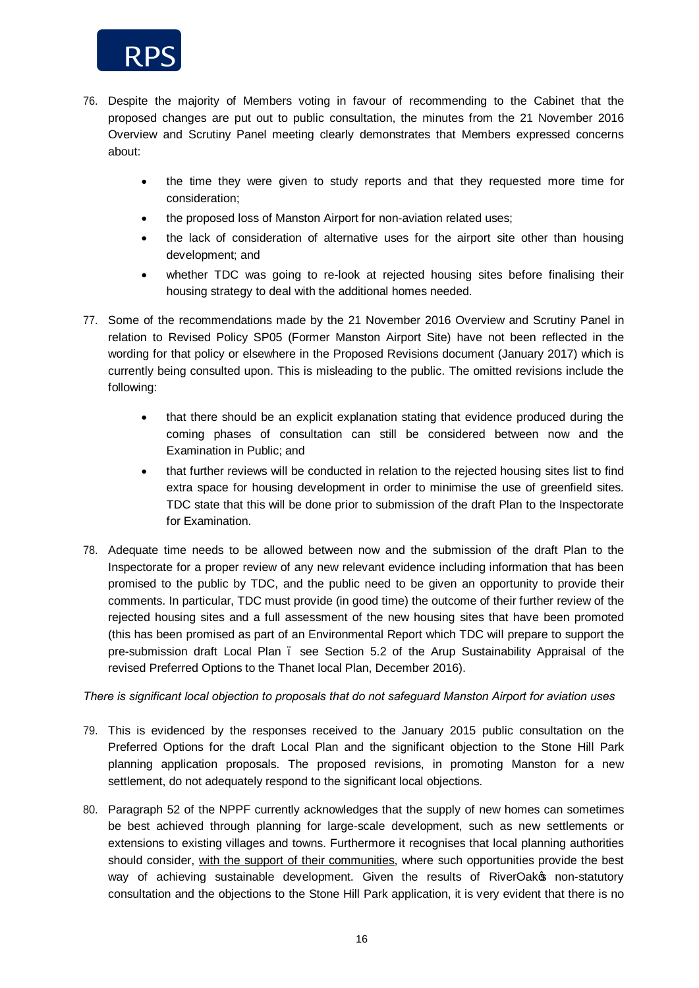

- 76. Despite the majority of Members voting in favour of recommending to the Cabinet that the proposed changes are put out to public consultation, the minutes from the 21 November 2016 Overview and Scrutiny Panel meeting clearly demonstrates that Members expressed concerns about:
	- · the time they were given to study reports and that they requested more time for consideration;
	- · the proposed loss of Manston Airport for non-aviation related uses;
	- the lack of consideration of alternative uses for the airport site other than housing development; and
	- · whether TDC was going to re-look at rejected housing sites before finalising their housing strategy to deal with the additional homes needed.
- 77. Some of the recommendations made by the 21 November 2016 Overview and Scrutiny Panel in relation to Revised Policy SP05 (Former Manston Airport Site) have not been reflected in the wording for that policy or elsewhere in the Proposed Revisions document (January 2017) which is currently being consulted upon. This is misleading to the public. The omitted revisions include the following:
	- · that there should be an explicit explanation stating that evidence produced during the coming phases of consultation can still be considered between now and the Examination in Public; and
	- · that further reviews will be conducted in relation to the rejected housing sites list to find extra space for housing development in order to minimise the use of greenfield sites. TDC state that this will be done prior to submission of the draft Plan to the Inspectorate for Examination.
- 78. Adequate time needs to be allowed between now and the submission of the draft Plan to the Inspectorate for a proper review of any new relevant evidence including information that has been promised to the public by TDC, and the public need to be given an opportunity to provide their comments. In particular, TDC must provide (in good time) the outcome of their further review of the rejected housing sites and a full assessment of the new housing sites that have been promoted (this has been promised as part of an Environmental Report which TDC will prepare to support the pre-submission draft Local Plan – see Section 5.2 of the Arup Sustainability Appraisal of the revised Preferred Options to the Thanet local Plan, December 2016).

*There is significant local objection to proposals that do not safeguard Manston Airport for aviation uses*

- 79. This is evidenced by the responses received to the January 2015 public consultation on the Preferred Options for the draft Local Plan and the significant objection to the Stone Hill Park planning application proposals. The proposed revisions, in promoting Manston for a new settlement, do not adequately respond to the significant local objections.
- 80. Paragraph 52 of the NPPF currently acknowledges that the supply of new homes can sometimes be best achieved through planning for large-scale development, such as new settlements or extensions to existing villages and towns. Furthermore it recognises that local planning authorities should consider, with the support of their communities, where such opportunities provide the best way of achieving sustainable development. Given the results of RiverOako non-statutory consultation and the objections to the Stone Hill Park application, it is very evident that there is no